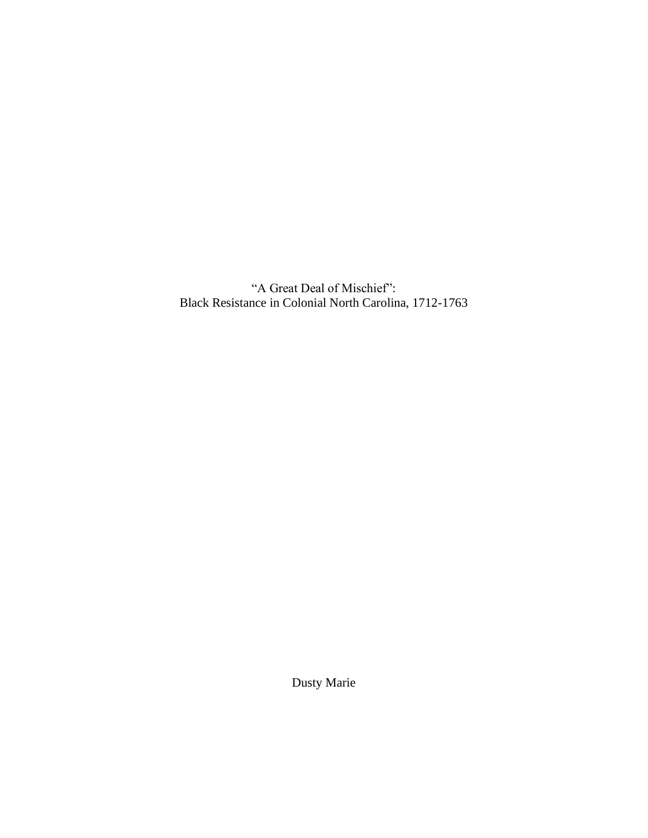"A Great Deal of Mischief": Black Resistance in Colonial North Carolina, 1712-1763

Dusty Marie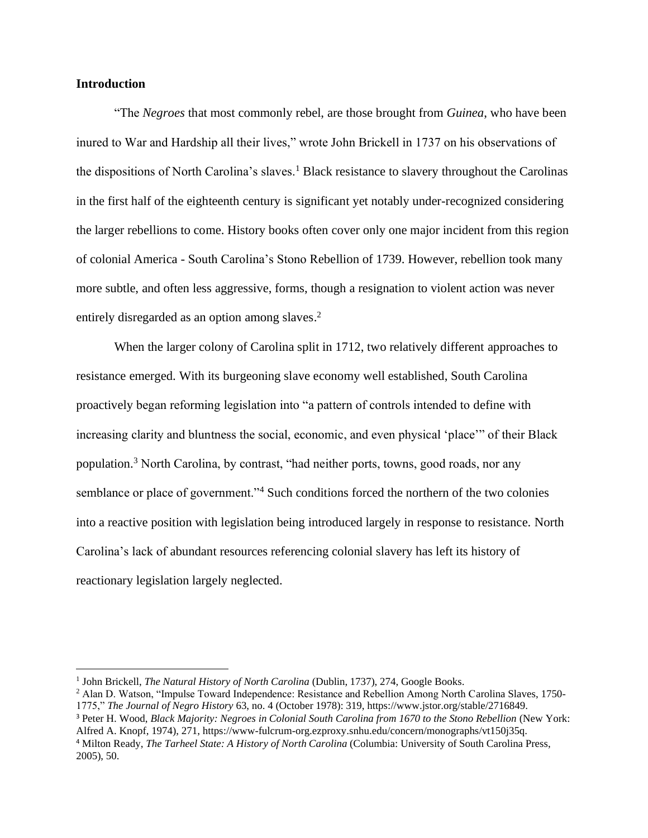# **Introduction**

"The *Negroes* that most commonly rebel, are those brought from *Guinea*, who have been inured to War and Hardship all their lives," wrote John Brickell in 1737 on his observations of the dispositions of North Carolina's slaves.<sup>1</sup> Black resistance to slavery throughout the Carolinas in the first half of the eighteenth century is significant yet notably under-recognized considering the larger rebellions to come. History books often cover only one major incident from this region of colonial America - South Carolina's Stono Rebellion of 1739. However, rebellion took many more subtle, and often less aggressive, forms, though a resignation to violent action was never entirely disregarded as an option among slaves.<sup>2</sup>

When the larger colony of Carolina split in 1712, two relatively different approaches to resistance emerged. With its burgeoning slave economy well established, South Carolina proactively began reforming legislation into "a pattern of controls intended to define with increasing clarity and bluntness the social, economic, and even physical 'place'" of their Black population.<sup>3</sup> North Carolina, by contrast, "had neither ports, towns, good roads, nor any semblance or place of government."<sup>4</sup> Such conditions forced the northern of the two colonies into a reactive position with legislation being introduced largely in response to resistance. North Carolina's lack of abundant resources referencing colonial slavery has left its history of reactionary legislation largely neglected.

<sup>&</sup>lt;sup>1</sup> John Brickell, *The Natural History of North Carolina* (Dublin, 1737), 274, Google Books.

<sup>2</sup> Alan D. Watson, "Impulse Toward Independence: Resistance and Rebellion Among North Carolina Slaves, 1750- 1775," *The Journal of Negro History* 63, no. 4 (October 1978): 319, https://www.jstor.org/stable/2716849.

<sup>3</sup> Peter H. Wood, *Black Majority: Negroes in Colonial South Carolina from 1670 to the Stono Rebellion* (New York: Alfred A. Knopf, 1974), 271, https://www-fulcrum-org.ezproxy.snhu.edu/concern/monographs/vt150j35q.

<sup>4</sup> Milton Ready, *The Tarheel State: A History of North Carolina* (Columbia: University of South Carolina Press, 2005), 50.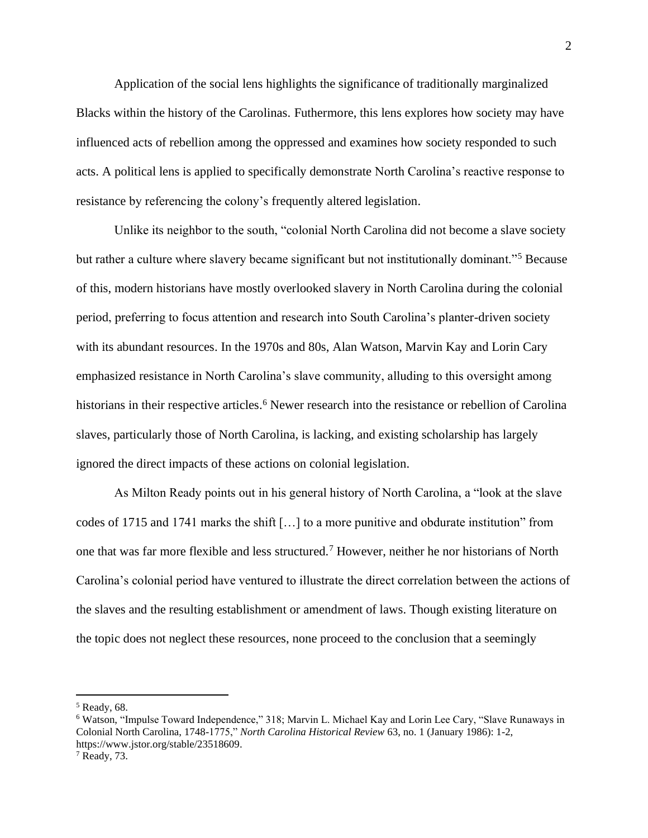Application of the social lens highlights the significance of traditionally marginalized Blacks within the history of the Carolinas. Futhermore, this lens explores how society may have influenced acts of rebellion among the oppressed and examines how society responded to such acts. A political lens is applied to specifically demonstrate North Carolina's reactive response to resistance by referencing the colony's frequently altered legislation.

Unlike its neighbor to the south, "colonial North Carolina did not become a slave society but rather a culture where slavery became significant but not institutionally dominant."<sup>5</sup> Because of this, modern historians have mostly overlooked slavery in North Carolina during the colonial period, preferring to focus attention and research into South Carolina's planter-driven society with its abundant resources. In the 1970s and 80s, Alan Watson, Marvin Kay and Lorin Cary emphasized resistance in North Carolina's slave community, alluding to this oversight among historians in their respective articles.<sup>6</sup> Newer research into the resistance or rebellion of Carolina slaves, particularly those of North Carolina, is lacking, and existing scholarship has largely ignored the direct impacts of these actions on colonial legislation.

As Milton Ready points out in his general history of North Carolina, a "look at the slave codes of 1715 and 1741 marks the shift […] to a more punitive and obdurate institution" from one that was far more flexible and less structured.<sup>7</sup> However, neither he nor historians of North Carolina's colonial period have ventured to illustrate the direct correlation between the actions of the slaves and the resulting establishment or amendment of laws. Though existing literature on the topic does not neglect these resources, none proceed to the conclusion that a seemingly

<sup>5</sup> Ready, 68.

<sup>6</sup> Watson, "Impulse Toward Independence," 318; Marvin L. Michael Kay and Lorin Lee Cary, "Slave Runaways in Colonial North Carolina, 1748-1775," *North Carolina Historical Review* 63, no. 1 (January 1986): 1-2, https://www.jstor.org/stable/23518609.

<sup>7</sup> Ready, 73.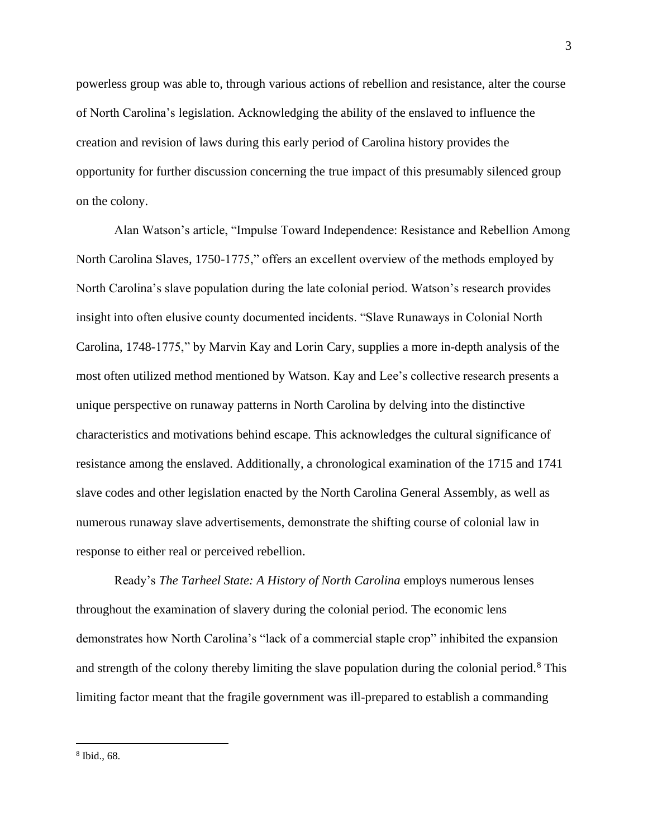powerless group was able to, through various actions of rebellion and resistance, alter the course of North Carolina's legislation. Acknowledging the ability of the enslaved to influence the creation and revision of laws during this early period of Carolina history provides the opportunity for further discussion concerning the true impact of this presumably silenced group on the colony.

Alan Watson's article, "Impulse Toward Independence: Resistance and Rebellion Among North Carolina Slaves, 1750-1775," offers an excellent overview of the methods employed by North Carolina's slave population during the late colonial period. Watson's research provides insight into often elusive county documented incidents. "Slave Runaways in Colonial North Carolina, 1748-1775," by Marvin Kay and Lorin Cary, supplies a more in-depth analysis of the most often utilized method mentioned by Watson. Kay and Lee's collective research presents a unique perspective on runaway patterns in North Carolina by delving into the distinctive characteristics and motivations behind escape. This acknowledges the cultural significance of resistance among the enslaved. Additionally, a chronological examination of the 1715 and 1741 slave codes and other legislation enacted by the North Carolina General Assembly, as well as numerous runaway slave advertisements, demonstrate the shifting course of colonial law in response to either real or perceived rebellion.

Ready's *The Tarheel State: A History of North Carolina* employs numerous lenses throughout the examination of slavery during the colonial period. The economic lens demonstrates how North Carolina's "lack of a commercial staple crop" inhibited the expansion and strength of the colony thereby limiting the slave population during the colonial period.<sup>8</sup> This limiting factor meant that the fragile government was ill-prepared to establish a commanding

<sup>8</sup> Ibid., 68.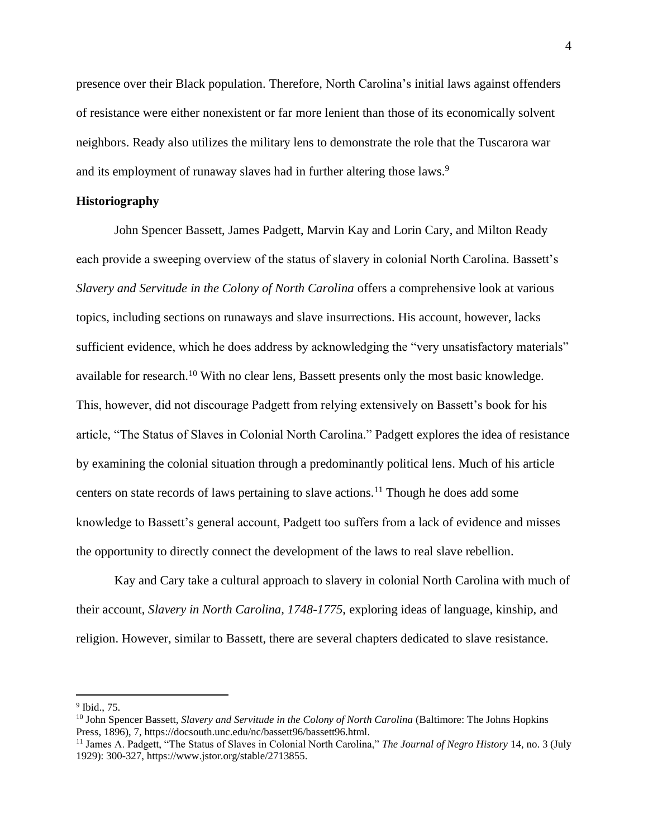presence over their Black population. Therefore, North Carolina's initial laws against offenders of resistance were either nonexistent or far more lenient than those of its economically solvent neighbors. Ready also utilizes the military lens to demonstrate the role that the Tuscarora war and its employment of runaway slaves had in further altering those laws.<sup>9</sup>

## **Historiography**

John Spencer Bassett, James Padgett, Marvin Kay and Lorin Cary, and Milton Ready each provide a sweeping overview of the status of slavery in colonial North Carolina. Bassett's *Slavery and Servitude in the Colony of North Carolina* offers a comprehensive look at various topics, including sections on runaways and slave insurrections. His account, however, lacks sufficient evidence, which he does address by acknowledging the "very unsatisfactory materials" available for research.<sup>10</sup> With no clear lens, Bassett presents only the most basic knowledge. This, however, did not discourage Padgett from relying extensively on Bassett's book for his article, "The Status of Slaves in Colonial North Carolina." Padgett explores the idea of resistance by examining the colonial situation through a predominantly political lens. Much of his article centers on state records of laws pertaining to slave actions.<sup>11</sup> Though he does add some knowledge to Bassett's general account, Padgett too suffers from a lack of evidence and misses the opportunity to directly connect the development of the laws to real slave rebellion.

Kay and Cary take a cultural approach to slavery in colonial North Carolina with much of their account, *Slavery in North Carolina, 1748-1775*, exploring ideas of language, kinship, and religion. However, similar to Bassett, there are several chapters dedicated to slave resistance.

<sup>9</sup> Ibid., 75.

<sup>10</sup> John Spencer Bassett, *Slavery and Servitude in the Colony of North Carolina* (Baltimore: The Johns Hopkins Press, 1896), 7, https://docsouth.unc.edu/nc/bassett96/bassett96.html.

<sup>11</sup> James A. Padgett, "The Status of Slaves in Colonial North Carolina," *The Journal of Negro History* 14, no. 3 (July 1929): 300-327, https://www.jstor.org/stable/2713855.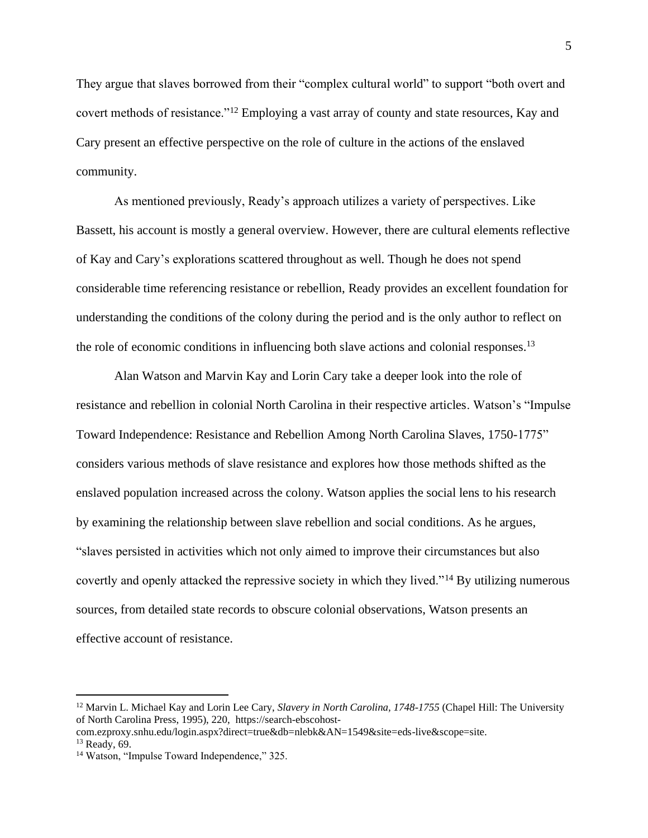They argue that slaves borrowed from their "complex cultural world" to support "both overt and covert methods of resistance."<sup>12</sup> Employing a vast array of county and state resources, Kay and Cary present an effective perspective on the role of culture in the actions of the enslaved community.

As mentioned previously, Ready's approach utilizes a variety of perspectives. Like Bassett, his account is mostly a general overview. However, there are cultural elements reflective of Kay and Cary's explorations scattered throughout as well. Though he does not spend considerable time referencing resistance or rebellion, Ready provides an excellent foundation for understanding the conditions of the colony during the period and is the only author to reflect on the role of economic conditions in influencing both slave actions and colonial responses.<sup>13</sup>

Alan Watson and Marvin Kay and Lorin Cary take a deeper look into the role of resistance and rebellion in colonial North Carolina in their respective articles. Watson's "Impulse Toward Independence: Resistance and Rebellion Among North Carolina Slaves, 1750-1775" considers various methods of slave resistance and explores how those methods shifted as the enslaved population increased across the colony. Watson applies the social lens to his research by examining the relationship between slave rebellion and social conditions. As he argues, "slaves persisted in activities which not only aimed to improve their circumstances but also covertly and openly attacked the repressive society in which they lived."<sup>14</sup> By utilizing numerous sources, from detailed state records to obscure colonial observations, Watson presents an effective account of resistance.

<sup>12</sup> Marvin L. Michael Kay and Lorin Lee Cary, *Slavery in North Carolina, 1748-1755* (Chapel Hill: The University of North Carolina Press, 1995), 220, https://search-ebscohost-

com.ezproxy.snhu.edu/login.aspx?direct=true&db=nlebk&AN=1549&site=eds-live&scope=site.

<sup>13</sup> Ready, 69.

<sup>&</sup>lt;sup>14</sup> Watson, "Impulse Toward Independence," 325.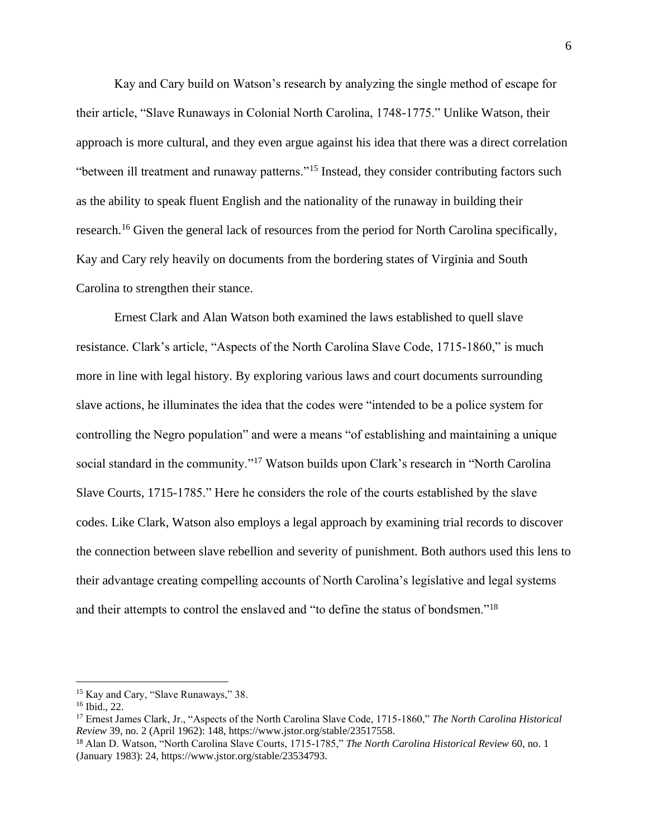Kay and Cary build on Watson's research by analyzing the single method of escape for their article, "Slave Runaways in Colonial North Carolina, 1748-1775." Unlike Watson, their approach is more cultural, and they even argue against his idea that there was a direct correlation "between ill treatment and runaway patterns."<sup>15</sup> Instead, they consider contributing factors such as the ability to speak fluent English and the nationality of the runaway in building their research.<sup>16</sup> Given the general lack of resources from the period for North Carolina specifically, Kay and Cary rely heavily on documents from the bordering states of Virginia and South Carolina to strengthen their stance.

Ernest Clark and Alan Watson both examined the laws established to quell slave resistance. Clark's article, "Aspects of the North Carolina Slave Code, 1715-1860," is much more in line with legal history. By exploring various laws and court documents surrounding slave actions, he illuminates the idea that the codes were "intended to be a police system for controlling the Negro population" and were a means "of establishing and maintaining a unique social standard in the community."<sup>17</sup> Watson builds upon Clark's research in "North Carolina Slave Courts, 1715-1785." Here he considers the role of the courts established by the slave codes. Like Clark, Watson also employs a legal approach by examining trial records to discover the connection between slave rebellion and severity of punishment. Both authors used this lens to their advantage creating compelling accounts of North Carolina's legislative and legal systems and their attempts to control the enslaved and "to define the status of bondsmen."<sup>18</sup>

<sup>15</sup> Kay and Cary, "Slave Runaways," 38.

<sup>16</sup> Ibid., 22.

<sup>17</sup> Ernest James Clark, Jr., "Aspects of the North Carolina Slave Code, 1715-1860," *The North Carolina Historical Review* 39, no. 2 (April 1962): 148, https://www.jstor.org/stable/23517558.

<sup>18</sup> Alan D. Watson, "North Carolina Slave Courts, 1715-1785," *The North Carolina Historical Review* 60, no. 1 (January 1983): 24, https://www.jstor.org/stable/23534793.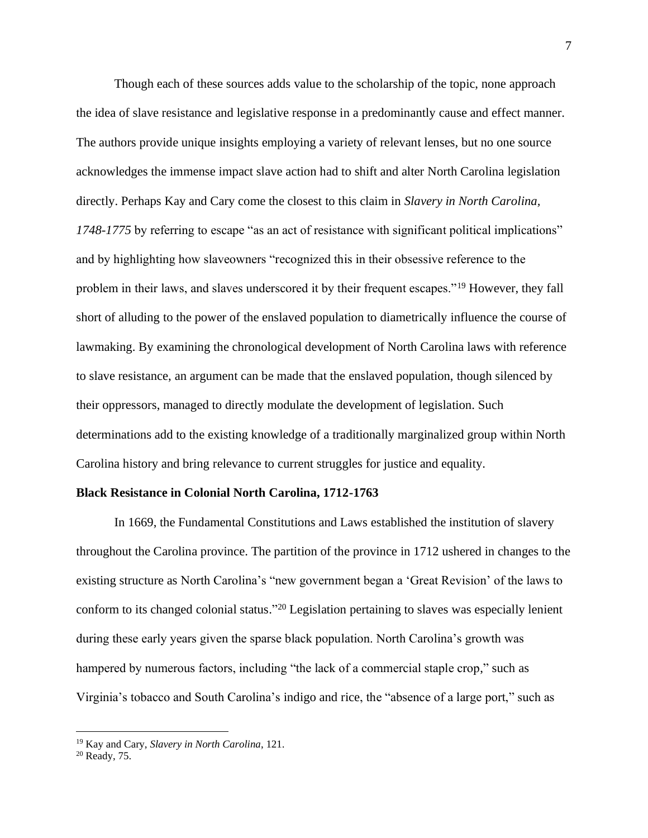Though each of these sources adds value to the scholarship of the topic, none approach the idea of slave resistance and legislative response in a predominantly cause and effect manner. The authors provide unique insights employing a variety of relevant lenses, but no one source acknowledges the immense impact slave action had to shift and alter North Carolina legislation directly. Perhaps Kay and Cary come the closest to this claim in *Slavery in North Carolina, 1748-1775* by referring to escape "as an act of resistance with significant political implications" and by highlighting how slaveowners "recognized this in their obsessive reference to the problem in their laws, and slaves underscored it by their frequent escapes."<sup>19</sup> However, they fall short of alluding to the power of the enslaved population to diametrically influence the course of lawmaking. By examining the chronological development of North Carolina laws with reference to slave resistance, an argument can be made that the enslaved population, though silenced by their oppressors, managed to directly modulate the development of legislation. Such determinations add to the existing knowledge of a traditionally marginalized group within North Carolina history and bring relevance to current struggles for justice and equality.

#### **Black Resistance in Colonial North Carolina, 1712-1763**

In 1669, the Fundamental Constitutions and Laws established the institution of slavery throughout the Carolina province. The partition of the province in 1712 ushered in changes to the existing structure as North Carolina's "new government began a 'Great Revision' of the laws to conform to its changed colonial status."<sup>20</sup> Legislation pertaining to slaves was especially lenient during these early years given the sparse black population. North Carolina's growth was hampered by numerous factors, including "the lack of a commercial staple crop," such as Virginia's tobacco and South Carolina's indigo and rice, the "absence of a large port," such as

<sup>19</sup> Kay and Cary, *Slavery in North Carolina*, 121.

<sup>20</sup> Ready, 75.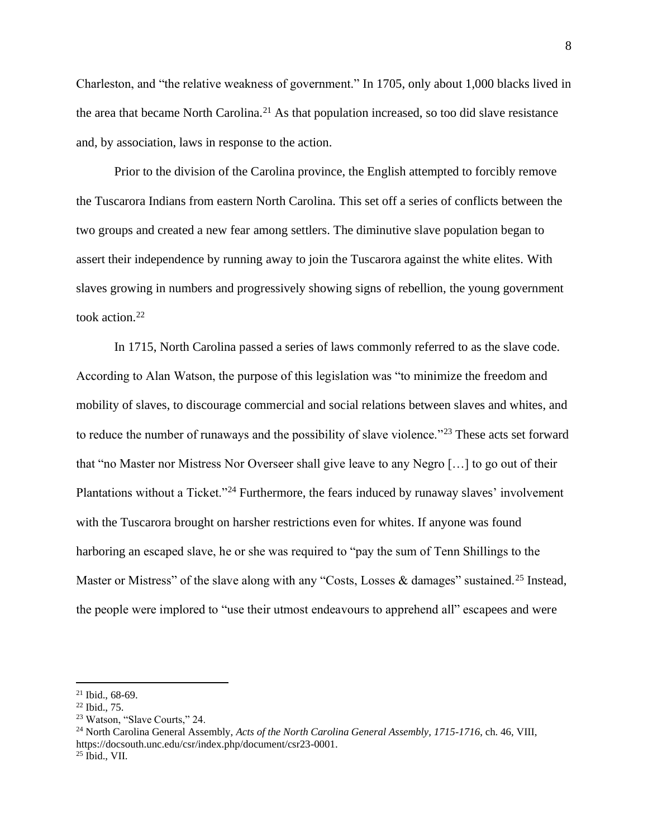Charleston, and "the relative weakness of government." In 1705, only about 1,000 blacks lived in the area that became North Carolina.<sup>21</sup> As that population increased, so too did slave resistance and, by association, laws in response to the action.

Prior to the division of the Carolina province, the English attempted to forcibly remove the Tuscarora Indians from eastern North Carolina. This set off a series of conflicts between the two groups and created a new fear among settlers. The diminutive slave population began to assert their independence by running away to join the Tuscarora against the white elites. With slaves growing in numbers and progressively showing signs of rebellion, the young government took action.<sup>22</sup>

In 1715, North Carolina passed a series of laws commonly referred to as the slave code. According to Alan Watson, the purpose of this legislation was "to minimize the freedom and mobility of slaves, to discourage commercial and social relations between slaves and whites, and to reduce the number of runaways and the possibility of slave violence."<sup>23</sup> These acts set forward that "no Master nor Mistress Nor Overseer shall give leave to any Negro […] to go out of their Plantations without a Ticket."<sup>24</sup> Furthermore, the fears induced by runaway slaves' involvement with the Tuscarora brought on harsher restrictions even for whites. If anyone was found harboring an escaped slave, he or she was required to "pay the sum of Tenn Shillings to the Master or Mistress" of the slave along with any "Costs, Losses & damages" sustained.<sup>25</sup> Instead, the people were implored to "use their utmost endeavours to apprehend all" escapees and were

<sup>21</sup> Ibid., 68-69.

<sup>22</sup> Ibid., 75.

<sup>23</sup> Watson, "Slave Courts," 24.

<sup>24</sup> North Carolina General Assembly, *Acts of the North Carolina General Assembly, 1715-1716*, ch. 46, VIII, https://docsouth.unc.edu/csr/index.php/document/csr23-0001. <sup>25</sup> Ibid., VII.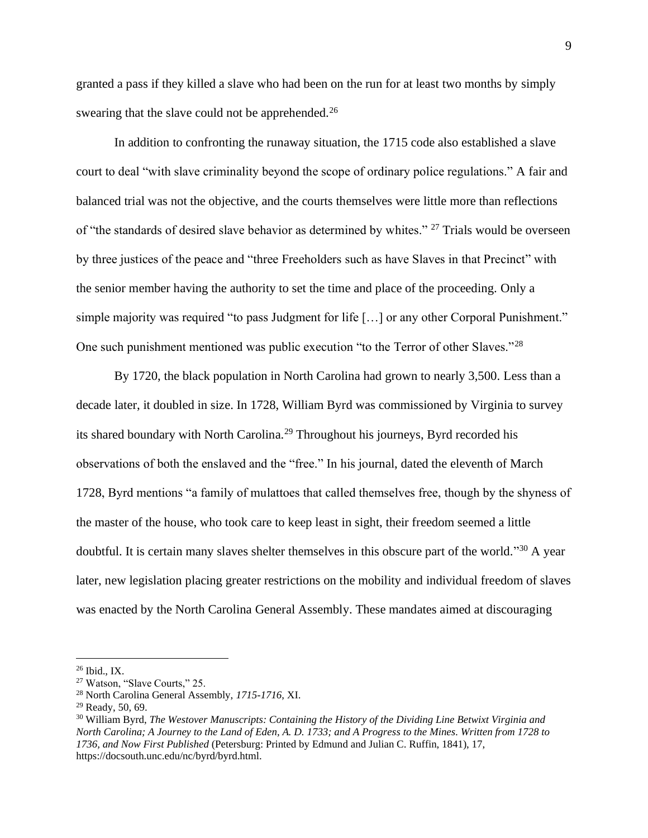granted a pass if they killed a slave who had been on the run for at least two months by simply swearing that the slave could not be apprehended.<sup>26</sup>

In addition to confronting the runaway situation, the 1715 code also established a slave court to deal "with slave criminality beyond the scope of ordinary police regulations." A fair and balanced trial was not the objective, and the courts themselves were little more than reflections of "the standards of desired slave behavior as determined by whites." <sup>27</sup> Trials would be overseen by three justices of the peace and "three Freeholders such as have Slaves in that Precinct" with the senior member having the authority to set the time and place of the proceeding. Only a simple majority was required "to pass Judgment for life [...] or any other Corporal Punishment." One such punishment mentioned was public execution "to the Terror of other Slaves."<sup>28</sup>

By 1720, the black population in North Carolina had grown to nearly 3,500. Less than a decade later, it doubled in size. In 1728, William Byrd was commissioned by Virginia to survey its shared boundary with North Carolina.<sup>29</sup> Throughout his journeys, Byrd recorded his observations of both the enslaved and the "free." In his journal, dated the eleventh of March 1728, Byrd mentions "a family of mulattoes that called themselves free, though by the shyness of the master of the house, who took care to keep least in sight, their freedom seemed a little doubtful. It is certain many slaves shelter themselves in this obscure part of the world."<sup>30</sup> A year later, new legislation placing greater restrictions on the mobility and individual freedom of slaves was enacted by the North Carolina General Assembly. These mandates aimed at discouraging

<sup>26</sup> Ibid., IX.

<sup>27</sup> Watson, "Slave Courts," 25.

<sup>28</sup> North Carolina General Assembly, *1715-1716*, XI.

<sup>29</sup> Ready, 50, 69.

<sup>30</sup> William Byrd, *The Westover Manuscripts: Containing the History of the Dividing Line Betwixt Virginia and North Carolina; A Journey to the Land of Eden, A. D. 1733; and A Progress to the Mines. Written from 1728 to 1736, and Now First Published* (Petersburg: Printed by Edmund and Julian C. Ruffin, 1841), 17, https://docsouth.unc.edu/nc/byrd/byrd.html.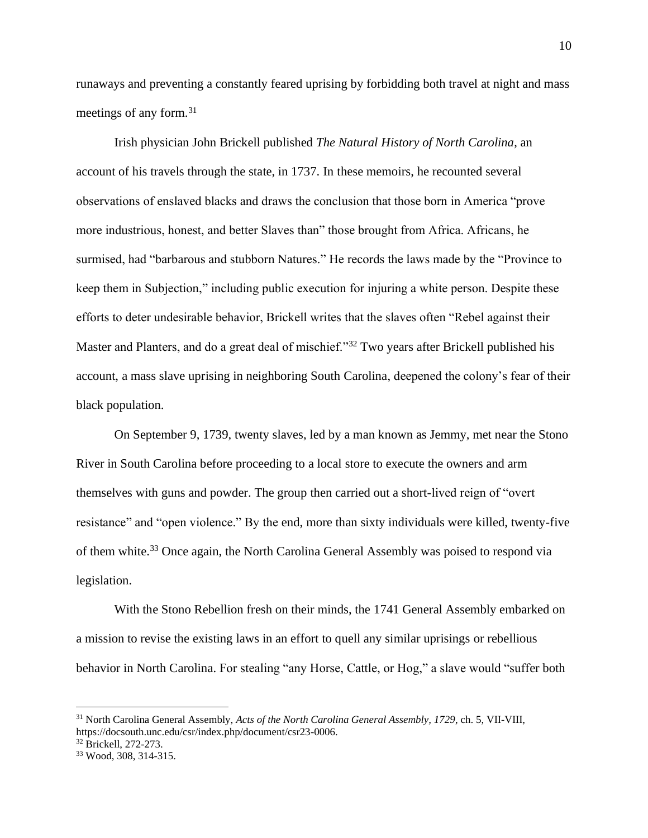runaways and preventing a constantly feared uprising by forbidding both travel at night and mass meetings of any form.<sup>31</sup>

Irish physician John Brickell published *The Natural History of North Carolina*, an account of his travels through the state, in 1737. In these memoirs, he recounted several observations of enslaved blacks and draws the conclusion that those born in America "prove more industrious, honest, and better Slaves than" those brought from Africa. Africans, he surmised, had "barbarous and stubborn Natures." He records the laws made by the "Province to keep them in Subjection," including public execution for injuring a white person. Despite these efforts to deter undesirable behavior, Brickell writes that the slaves often "Rebel against their Master and Planters, and do a great deal of mischief."<sup>32</sup> Two years after Brickell published his account, a mass slave uprising in neighboring South Carolina, deepened the colony's fear of their black population.

On September 9, 1739, twenty slaves, led by a man known as Jemmy, met near the Stono River in South Carolina before proceeding to a local store to execute the owners and arm themselves with guns and powder. The group then carried out a short-lived reign of "overt resistance" and "open violence." By the end, more than sixty individuals were killed, twenty-five of them white.<sup>33</sup> Once again, the North Carolina General Assembly was poised to respond via legislation.

With the Stono Rebellion fresh on their minds, the 1741 General Assembly embarked on a mission to revise the existing laws in an effort to quell any similar uprisings or rebellious behavior in North Carolina. For stealing "any Horse, Cattle, or Hog," a slave would "suffer both

<sup>31</sup> North Carolina General Assembly, *Acts of the North Carolina General Assembly, 1729*, ch. 5, VII-VIII, https://docsouth.unc.edu/csr/index.php/document/csr23-0006.

<sup>32</sup> Brickell, 272-273.

<sup>33</sup> Wood, 308, 314-315.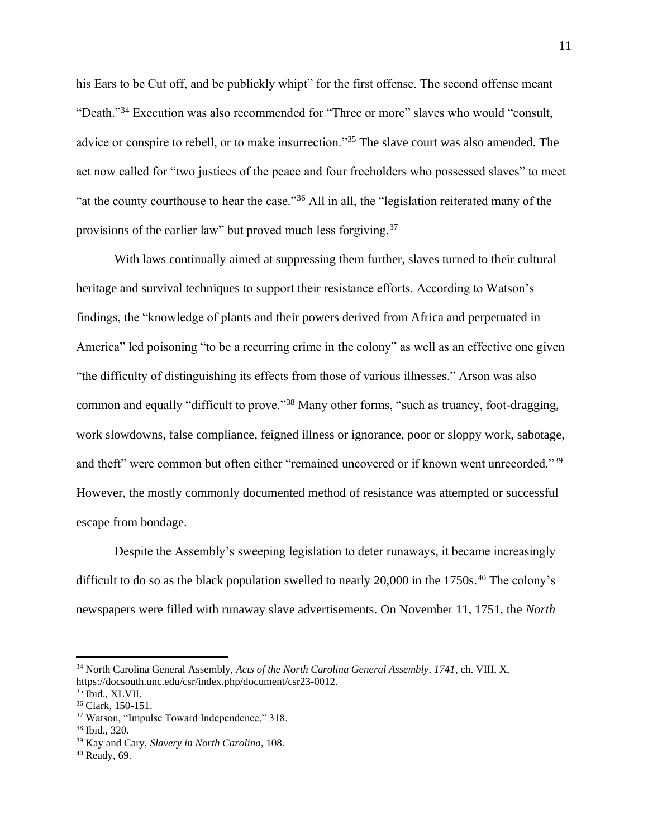his Ears to be Cut off, and be publickly whipt" for the first offense. The second offense meant "Death."<sup>34</sup> Execution was also recommended for "Three or more" slaves who would "consult, advice or conspire to rebell, or to make insurrection."<sup>35</sup> The slave court was also amended. The act now called for "two justices of the peace and four freeholders who possessed slaves" to meet "at the county courthouse to hear the case."<sup>36</sup> All in all, the "legislation reiterated many of the provisions of the earlier law" but proved much less forgiving.<sup>37</sup>

With laws continually aimed at suppressing them further, slaves turned to their cultural heritage and survival techniques to support their resistance efforts. According to Watson's findings, the "knowledge of plants and their powers derived from Africa and perpetuated in America" led poisoning "to be a recurring crime in the colony" as well as an effective one given "the difficulty of distinguishing its effects from those of various illnesses." Arson was also common and equally "difficult to prove."<sup>38</sup> Many other forms, "such as truancy, foot-dragging, work slowdowns, false compliance, feigned illness or ignorance, poor or sloppy work, sabotage, and theft" were common but often either "remained uncovered or if known went unrecorded."<sup>39</sup> However, the mostly commonly documented method of resistance was attempted or successful escape from bondage.

Despite the Assembly's sweeping legislation to deter runaways, it became increasingly difficult to do so as the black population swelled to nearly  $20,000$  in the  $1750s$ .<sup>40</sup> The colony's newspapers were filled with runaway slave advertisements. On November 11, 1751, the *North*

<sup>34</sup> North Carolina General Assembly, *Acts of the North Carolina General Assembly, 1741*, ch. VIII, X, https://docsouth.unc.edu/csr/index.php/document/csr23-0012.

<sup>35</sup> Ibid., XLVII.

<sup>36</sup> Clark, 150-151.

<sup>37</sup> Watson, "Impulse Toward Independence," 318.

<sup>38</sup> Ibid., 320.

<sup>39</sup> Kay and Cary, *Slavery in North Carolina*, 108.

 $40$  Ready, 69.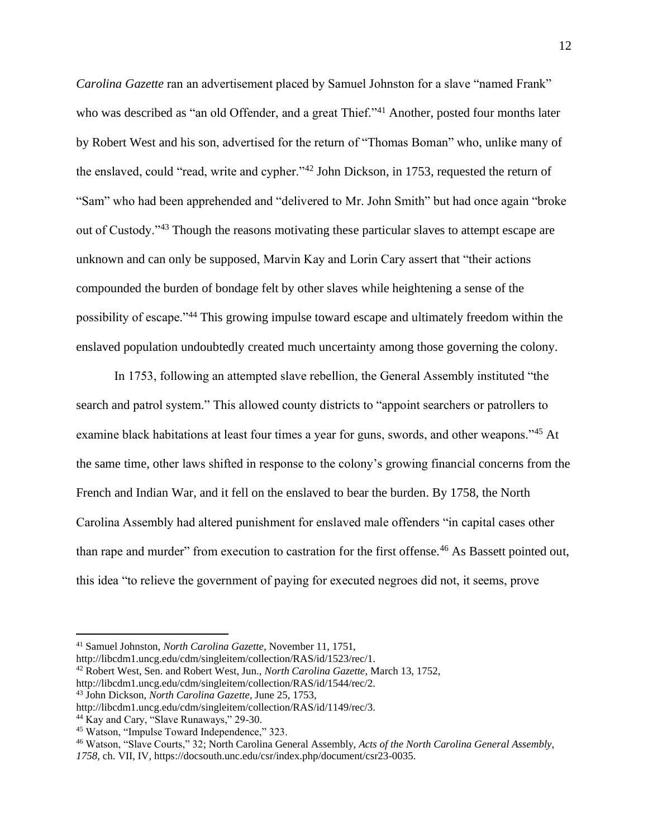*Carolina Gazette* ran an advertisement placed by Samuel Johnston for a slave "named Frank" who was described as "an old Offender, and a great Thief."<sup>41</sup> Another, posted four months later by Robert West and his son, advertised for the return of "Thomas Boman" who, unlike many of the enslaved, could "read, write and cypher."<sup>42</sup> John Dickson, in 1753, requested the return of "Sam" who had been apprehended and "delivered to Mr. John Smith" but had once again "broke out of Custody."<sup>43</sup> Though the reasons motivating these particular slaves to attempt escape are unknown and can only be supposed, Marvin Kay and Lorin Cary assert that "their actions compounded the burden of bondage felt by other slaves while heightening a sense of the possibility of escape."<sup>44</sup> This growing impulse toward escape and ultimately freedom within the enslaved population undoubtedly created much uncertainty among those governing the colony.

In 1753, following an attempted slave rebellion, the General Assembly instituted "the search and patrol system." This allowed county districts to "appoint searchers or patrollers to examine black habitations at least four times a year for guns, swords, and other weapons."<sup>45</sup> At the same time, other laws shifted in response to the colony's growing financial concerns from the French and Indian War, and it fell on the enslaved to bear the burden. By 1758, the North Carolina Assembly had altered punishment for enslaved male offenders "in capital cases other than rape and murder" from execution to castration for the first offense.<sup>46</sup> As Bassett pointed out, this idea "to relieve the government of paying for executed negroes did not, it seems, prove

http://libcdm1.uncg.edu/cdm/singleitem/collection/RAS/id/1544/rec/2.

<sup>41</sup> Samuel Johnston, *North Carolina Gazette*, November 11, 1751,

http://libcdm1.uncg.edu/cdm/singleitem/collection/RAS/id/1523/rec/1.

<sup>42</sup> Robert West, Sen. and Robert West, Jun., *North Carolina Gazette*, March 13, 1752,

<sup>43</sup> John Dickson, *North Carolina Gazette,* June 25, 1753,

http://libcdm1.uncg.edu/cdm/singleitem/collection/RAS/id/1149/rec/3.

<sup>&</sup>lt;sup>44</sup> Kay and Cary, "Slave Runaways," 29-30.

<sup>45</sup> Watson, "Impulse Toward Independence," 323.

<sup>46</sup> Watson, "Slave Courts," 32; North Carolina General Assembly, *Acts of the North Carolina General Assembly,* 

*<sup>1758</sup>*, ch. VII, IV, https://docsouth.unc.edu/csr/index.php/document/csr23-0035.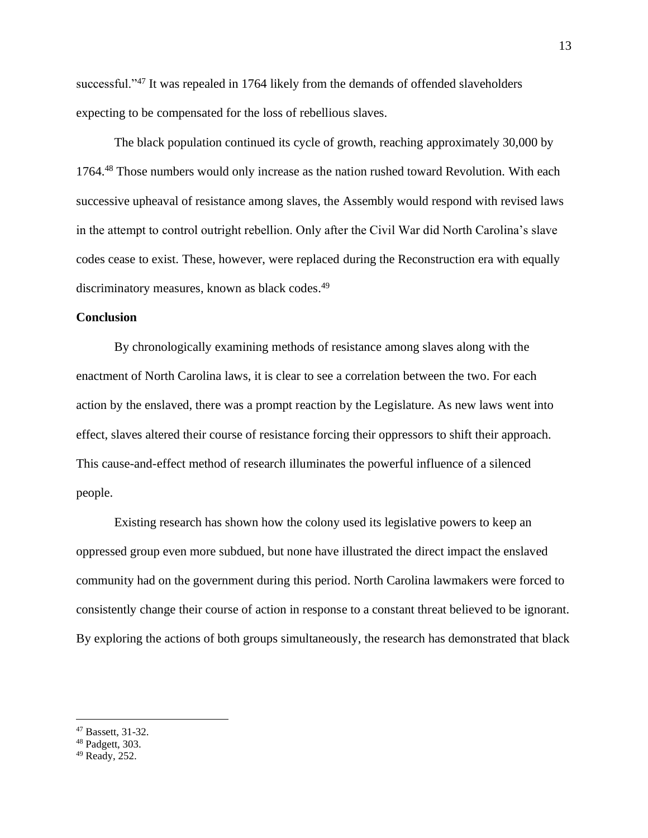successful."<sup>47</sup> It was repealed in 1764 likely from the demands of offended slaveholders expecting to be compensated for the loss of rebellious slaves.

The black population continued its cycle of growth, reaching approximately 30,000 by 1764.<sup>48</sup> Those numbers would only increase as the nation rushed toward Revolution. With each successive upheaval of resistance among slaves, the Assembly would respond with revised laws in the attempt to control outright rebellion. Only after the Civil War did North Carolina's slave codes cease to exist. These, however, were replaced during the Reconstruction era with equally discriminatory measures, known as black codes.<sup>49</sup>

# **Conclusion**

By chronologically examining methods of resistance among slaves along with the enactment of North Carolina laws, it is clear to see a correlation between the two. For each action by the enslaved, there was a prompt reaction by the Legislature. As new laws went into effect, slaves altered their course of resistance forcing their oppressors to shift their approach. This cause-and-effect method of research illuminates the powerful influence of a silenced people.

Existing research has shown how the colony used its legislative powers to keep an oppressed group even more subdued, but none have illustrated the direct impact the enslaved community had on the government during this period. North Carolina lawmakers were forced to consistently change their course of action in response to a constant threat believed to be ignorant. By exploring the actions of both groups simultaneously, the research has demonstrated that black

<sup>47</sup> Bassett, 31-32.

<sup>48</sup> Padgett, 303.

<sup>49</sup> Ready, 252.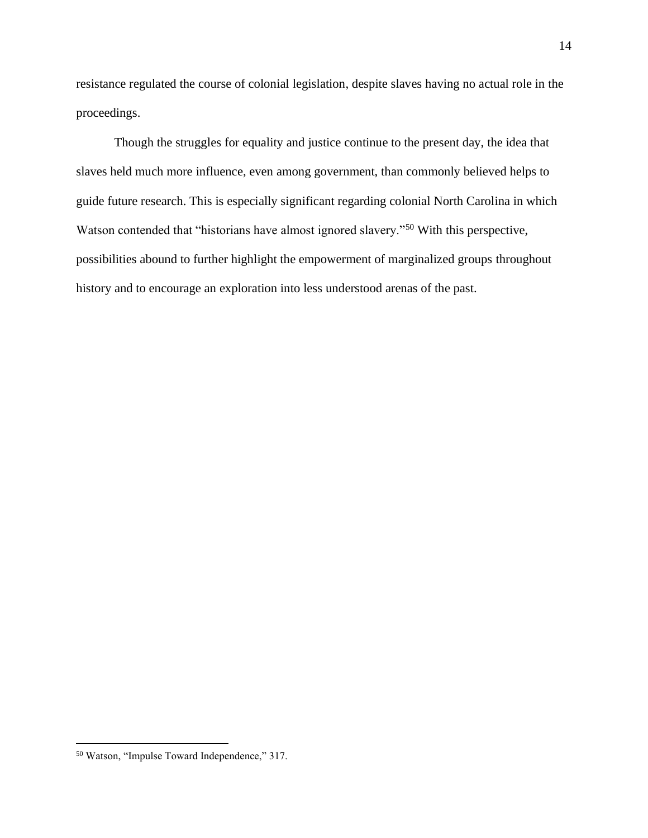resistance regulated the course of colonial legislation, despite slaves having no actual role in the proceedings.

Though the struggles for equality and justice continue to the present day, the idea that slaves held much more influence, even among government, than commonly believed helps to guide future research. This is especially significant regarding colonial North Carolina in which Watson contended that "historians have almost ignored slavery."<sup>50</sup> With this perspective, possibilities abound to further highlight the empowerment of marginalized groups throughout history and to encourage an exploration into less understood arenas of the past.

<sup>50</sup> Watson, "Impulse Toward Independence," 317.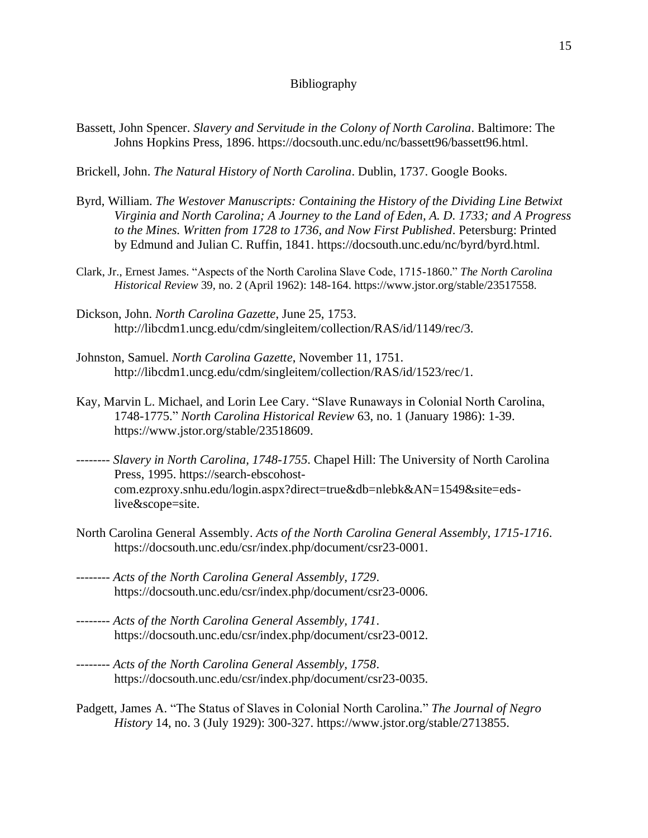## Bibliography

Bassett, John Spencer. *Slavery and Servitude in the Colony of North Carolina*. Baltimore: The Johns Hopkins Press, 1896. https://docsouth.unc.edu/nc/bassett96/bassett96.html.

Brickell, John. *The Natural History of North Carolina*. Dublin, 1737. Google Books.

- Byrd, William. *The Westover Manuscripts: Containing the History of the Dividing Line Betwixt Virginia and North Carolina; A Journey to the Land of Eden, A. D. 1733; and A Progress to the Mines. Written from 1728 to 1736, and Now First Published*. Petersburg: Printed by Edmund and Julian C. Ruffin, 1841. https://docsouth.unc.edu/nc/byrd/byrd.html.
- Clark, Jr., Ernest James. "Aspects of the North Carolina Slave Code, 1715-1860." *The North Carolina Historical Review* 39, no. 2 (April 1962): 148-164. https://www.jstor.org/stable/23517558.
- Dickson, John. *North Carolina Gazette*, June 25, 1753. http://libcdm1.uncg.edu/cdm/singleitem/collection/RAS/id/1149/rec/3.
- Johnston, Samuel. *North Carolina Gazette*, November 11, 1751. http://libcdm1.uncg.edu/cdm/singleitem/collection/RAS/id/1523/rec/1.
- Kay, Marvin L. Michael, and Lorin Lee Cary. "Slave Runaways in Colonial North Carolina, 1748-1775." *North Carolina Historical Review* 63, no. 1 (January 1986): 1-39. https://www.jstor.org/stable/23518609.
- -------- *Slavery in North Carolina, 1748-1755*. Chapel Hill: The University of North Carolina Press, 1995. https://search-ebscohostcom.ezproxy.snhu.edu/login.aspx?direct=true&db=nlebk&AN=1549&site=edslive&scope=site.
- North Carolina General Assembly. *Acts of the North Carolina General Assembly, 1715-1716*. https://docsouth.unc.edu/csr/index.php/document/csr23-0001.
- -------- *Acts of the North Carolina General Assembly, 1729*. https://docsouth.unc.edu/csr/index.php/document/csr23-0006.
- -------- *Acts of the North Carolina General Assembly, 1741*. https://docsouth.unc.edu/csr/index.php/document/csr23-0012.
- -------- *Acts of the North Carolina General Assembly, 1758*. https://docsouth.unc.edu/csr/index.php/document/csr23-0035.
- Padgett, James A. "The Status of Slaves in Colonial North Carolina." *The Journal of Negro History* 14, no. 3 (July 1929): 300-327. https://www.jstor.org/stable/2713855.